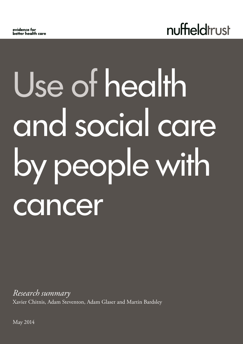

# Use of health and social care by people with cancer

*Research summary* Xavier Chitnis, Adam Steventon, Adam Glaser and Martin Bardsley

May 2014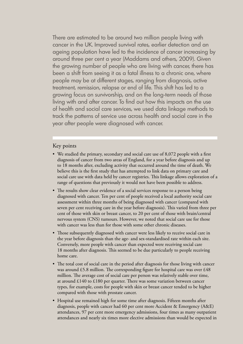There are estimated to be around two million people living with cancer in the UK. Improved survival rates, earlier detection and an ageing population have led to the incidence of cancer increasing by around three per cent a year (Maddams and others, 2009). Given the growing number of people who are living with cancer, there has been a shift from seeing it as a fatal illness to a chronic one, where people may be at different stages, ranging from diagnosis, active treatment, remission, relapse or end of life. This shift has led to a growing focus on survivorship, and on the long-term needs of those living with and after cancer. To find out how this impacts on the use of health and social care services, we used data linkage methods to track the patterns of service use across health and social care in the year after people were diagnosed with cancer.

# Key points

- We studied the primary, secondary and social care use of 8,072 people with a first diagnosis of cancer from two areas of England, for a year before diagnosis and up to 18 months after, excluding activity that occurred around the time of death. We believe this is the first study that has attempted to link data on primary care and social care use with data held by cancer registries. This linkage allows exploration of a range of questions that previously it would not have been possible to address.
- The results show clear evidence of a social services response to a person being diagnosed with cancer. Ten per cent of people received a local authority social care assessment within three months of being diagnosed with cancer (compared with seven per cent receiving care in the year before diagnosis). This varied from three per cent of those with skin or breast cancer, to 20 per cent of those with brain/central nervous system (CNS) tumours. However, we noted that social care use for those with cancer was less than for those with some other chronic diseases.
- Those subsequently diagnosed with cancer were less likely to receive social care in the year before diagnosis than the age- and sex-standardised rate within each site. Conversely, more people with cancer than expected were receiving social care 18 months after diagnosis. This seemed to be due particularly to people receiving home care.
- The total cost of social care in the period after diagnosis for those living with cancer was around  $£5.8$  million. The corresponding figure for hospital care was over  $£48$ million. The average cost of social care per person was relatively stable over time, at around  $£140$  to  $£180$  per quarter. There was some variation between cancer types, for example, costs for people with skin or breast cancer tended to be higher compared with those with prostate cancer.
- Hospital use remained high for some time after diagnosis. Fifteen months after diagnosis, people with cancer had 60 per cent more Accident & Emergency (A&E) attendances, 97 per cent more emergency admissions, four times as many outpatient attendances and nearly six times more elective admissions than would be expected in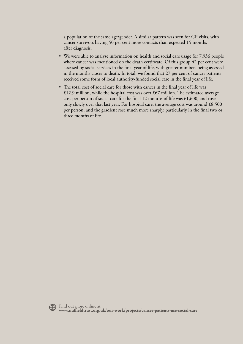a population of the same age/gender. A similar pattern was seen for GP visits, with cancer survivors having 50 per cent more contacts than expected 15 months after diagnosis.

- We were able to analyse information on health and social care usage for 7,936 people where cancer was mentioned on the death certificate. Of this group 42 per cent were assessed by social services in the final year of life, with greater numbers being assessed in the months closer to death. In total, we found that 27 per cent of cancer patients received some form of local authority-funded social care in the final year of life.
- The total cost of social care for those with cancer in the final year of life was £12.9 million, while the hospital cost was over £67 million. The estimated average cost per person of social care for the final 12 months of life was  $£1,600$ , and rose only slowly over that last year. For hospital care, the average cost was around  $£8,500$ per person, and the gradient rose much more sharply, particularly in the final two or three months of life.

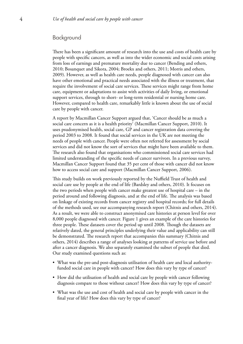#### Background

There has been a significant amount of research into the use and costs of health care by people with specific cancers, as well as into the wider economic and social costs arising from loss of earnings and premature mortality due to cancer (Bending and others, 2010; Bosanquet and Sikora, 2004; Broekx and others, 2011; Morris and others, 2009). However, as well as health care needs, people diagnosed with cancer can also have other emotional and practical needs associated with the illness or treatment, that require the involvement of social care services. These services might range from home care, equipment or adaptations to assist with activities of daily living, or emotional support services, through to short- or long-term residential or nursing home care. However, compared to health care, remarkably little is known about the use of social care by people with cancer.

A report by Macmillan Cancer Support argued that, 'Cancer should be as much a social care concern as it is a health priority' (Macmillan Cancer Support, 2010). It uses psudonymised health, social care, GP and cancer registration data covering the period 2003 to 2008. It found that social services in the UK are not meeting the needs of people with cancer. People were often not referred for assessment by social services and did not know the sort of services that might have been available to them. The research also found that organisations who commissioned social care services had limited understanding of the specific needs of cancer survivors. In a previous survey, Macmillan Cancer Support found that 35 per cent of those with cancer did not know how to access social care and support (Macmillan Cancer Support, 2006).

This study builds on work previously reported by the Nuffield Trust of health and social care use by people at the end of life (Bardsley and others, 2010). It focuses on the two periods when people with cancer make greatest use of hospital care – in the period around and following diagnosis, and at the end of life. The analysis was based on linkage of existing records from cancer registry and hospital records; for full details of the methods used, see our accompanying research report (Chitnis and others, 2014). As a result, we were able to construct anonymised care histories at person level for over 8,000 people diagnosed with cancer. Figure 1 gives an example of the care histories for three people. These datasets cover the period up until 2008. Though the datasets are relatively dated, the general principles underlying their value and applicability can still be demonstrated. The research report that accompanies this summary (Chitnis and others, 2014) describes a range of analyses looking at patterns of service use before and after a cancer diagnosis. We also separately examined the subset of people that died. Our study examined questions such as:

- What was the pre-and post-diagnosis utilisation of health care and local authorityfunded social care in people with cancer? How does this vary by type of cancer?
- How did the utilisation of health and social care by people with cancer following diagnosis compare to those without cancer? How does this vary by type of cancer?
- What was the use and cost of health and social care by people with cancer in the final year of life? How does this vary by type of cancer?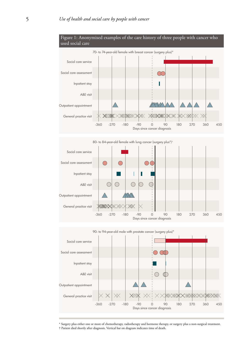

\* Surgery plus either one or more of chemotherapy, radiotherapy and hormone therapy, or surgery plus a non-surgical treatment.

<sup>†</sup> Patient died shortly after diagnosis. Vertical bar on diagram indicates time of death.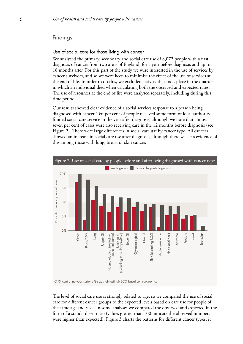### Findings

#### Use of social care for those living with cancer

We analysed the primary, secondary and social care use of 8,072 people with a first diagnosis of cancer from two areas of England, for a year before diagnosis and up to 18 months after. For this part of the study we were interested in the use of services by cancer survivors, and so we were keen to minimise the effect of the use of services at the end of life. In order to do this, we excluded activity that took place in the quarter in which an individual died when calculating both the observed and expected rates. The use of resources at the end of life were analysed separately, including during this time period.

Our results showed clear evidence of a social services response to a person being diagnosed with cancer. Ten per cent of people received some form of local authorityfunded social care service in the year after diagnosis, although we note that almost seven per cent of cases were also receiving care in the 12 months before diagnosis (see Figure 2). There were large differences in social care use by cancer type. All cancers showed an increase in social care use after diagnosis, although there was less evidence of this among those with lung, breast or skin cancer.



CNS: central nervous system; GI: gastrointestinal; BCC: basal cell carcinoma.

The level of social care use is strongly related to age, so we compared the use of social care for different cancer groups to the expected levels based on care use for people of the same age and sex – in some analyses we compared the observed and expected in the form of a standardised ratio (values greater than 100 indicate the observed numbers were higher than expected). Figure 3 charts the patterns for different cancer types; it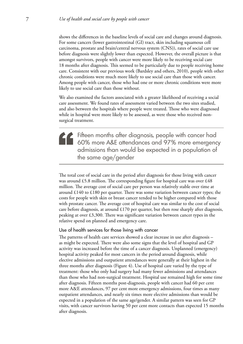shows the differences in the baseline levels of social care and changes around diagnosis. For some cancers (lower gastrointestinal (GI) tract, skin including squamous cell carcinoma, prostate and brain/central nervous system (CNS)), rates of social care use before diagnosis were slightly lower than expected. However, the overall picture is that amongst survivors, people with cancer were more likely to be receiving social care 18 months after diagnosis. This seemed to be particularly due to people receiving home care. Consistent with our previous work (Bardsley and others, 2010), people with other chronic conditions were much more likely to use social care than those with cancer. Among people with cancer, those who had one or more chronic conditions were more likely to use social care than those without.

We also examined the factors associated with a greater likelihood of receiving a social care assessment. We found rates of assessment varied between the two sites studied, and also between the hospitals where people were treated. Those who were diagnosed while in hospital were more likely to be assessed, as were those who received nonsurgical treatment.

Fifteen months after diagnosis, people with cancer had 60% more A&E attendances and 97% more emergency admissions than would be expected in a population of the same age/gender

The total cost of social care in the period after diagnosis for those living with cancer was around £5.8 million. The corresponding figure for hospital care was over £48 million. The average cost of social care per person was relatively stable over time at around  $\pounds140$  to  $\pounds180$  per quarter. There was some variation between cancer types; the costs for people with skin or breast cancer tended to be higher compared with those with prostate cancer. The average cost of hospital care was similar to the cost of social care before diagnosis, at around  $\pounds$ 170 per quarter, but then rose sharply after diagnosis, peaking at over £3,300. There was significant variation between cancer types in the relative spend on planned and emergency care.

#### Use of health services for those living with cancer

The patterns of health care services showed a clear increase in use after diagnosis – as might be expected. There were also some signs that the level of hospital and GP activity was increased before the time of a cancer diagnosis. Unplanned (emergency) hospital activity peaked for most cancers in the period around diagnosis, while elective admissions and outpatient attendances were generally at their highest in the three months after diagnosis (Figure 4). Use of hospital care varied by the type of treatment: those who only had surgery had many fewer admissions and attendances than those who had non-surgical treatment. Hospital use remained high for some time after diagnosis. Fifteen months post-diagnosis, people with cancer had 60 per cent more A&E attendances, 97 per cent more emergency admissions, four times as many outpatient attendances, and nearly six times more elective admissions than would be expected in a population of the same age/gender. A similar pattern was seen for GP visits, with cancer survivors having 50 per cent more contacts than expected 15 months after diagnosis.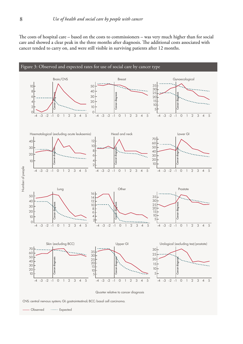The costs of hospital care – based on the costs to commissioners – was very much higher than for social care and showed a clear peak in the three months after diagnosis. The additional costs associated with cancer tended to carry on, and were still visible in surviving patients after 12 months.



CNS: central nervous system; GI: gastrointestinal; BCC: basal cell carcinoma.

Observed ....... Expected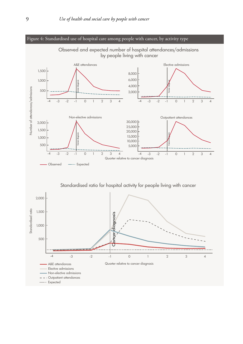

Standardised ratio for hospital activity for people living with cancer

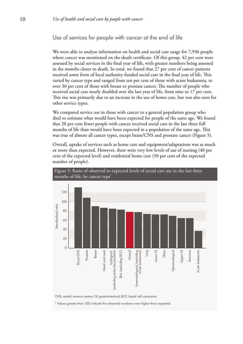# Use of services for people with cancer at the end of life

We were able to analyse information on health and social care usage for 7,936 people where cancer was mentioned on the death certificate. Of this group, 42 per cent were assessed by social services in the final year of life, with greater numbers being assessed in the months closer to death. In total, we found that 27 per cent of cancer patients received some form of local authority-funded social care in the final year of life. This varied by cancer type and ranged from ten per cent of those with acute leukaemia, to over 30 per cent of those with breast or prostate cancer. The number of people who received social care nearly doubled over the last year of life, from nine to 17 per cent. This rise was primarily due to an increase in the use of home care, but was also seen for other service types.

We compared service use in those with cancer to a general population group who died to estimate what would have been expected for people of the same age. We found that 20 per cent fewer people with cancer received social care in the last three full months of life than would have been expected in a population of the same age. This was true of almost all cancer types, except brain/CNS and prostate cancer (Figure 5).

Overall, uptake of services such as home care and equipment/adaptations was as much or more than expected. However, there were very low levels of use of nursing (40 per cent of the expected level) and residential home care (50 per cent of the expected number of people).



Figure 5: Ratio of observed to expected levels of social care use in the last three months of life, by cancer type<sup>\*</sup>

CNS: central nervous system; GI: gastrointestinal; BCC: basal cell carcinoma.

\* Values greater than 100 indicate the observed numbers were higher than expected.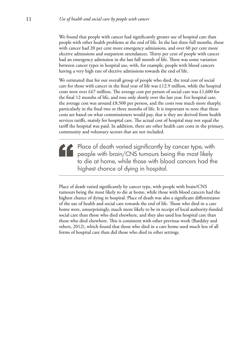We found that people with cancer had significantly greater use of hospital care than people with other health problems at the end of life. In the last three full months, those with cancer had 20 per cent more emergency admissions, and over 60 per cent more elective admissions and outpatient attendances. Thirty per cent of people with cancer had an emergency admission in the last full month of life. There was some variation between cancer types in hospital use, with, for example, people with blood cancers having a very high rate of elective admissions towards the end of life.

We estimated that for our overall group of people who died, the total cost of social care for those with cancer in the final year of life was £12.9 million, while the hospital costs were over £67 million. The average cost per person of social care was £1,600 for the final 12 months of life, and rose only slowly over the last year. For hospital care, the average cost was around £8,500 per person, and the costs rose much more sharply, particularly in the final two or three months of life. It is important to note that these costs are based on what commissioners would pay, that is they are derived from health services tariffs, mainly for hospital care. The actual cost of hospital may not equal the tariff the hospital was paid. In addition, there are other health care costs in the primary, community and voluntary sectors that are not included.

Place of death varied significantly by cancer type, with people with brain/CNS tumours being the most likely to die at home, while those with blood cancers had the highest chance of dying in hospital.

Place of death varied significantly by cancer type, with people with brain/CNS tumours being the most likely to die at home, while those with blood cancers had the highest chance of dying in hospital. Place of death was also a significant differentiator of the use of health and social care towards the end of life. Those who died in a care home were, unsurprisingly, much more likely to be in receipt of local authority-funded social care than those who died elsewhere, and they also used less hospital care than those who died elsewhere. This is consistent with other previous work (Bardsley and others, 2012), which found that those who died in a care home used much less of all forms of hospital care than did those who died in other settings.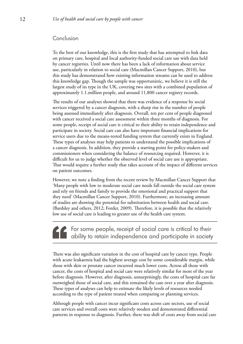# Conclusion

To the best of our knowledge, this is the first study that has attempted to link data on primary care, hospital and local authority-funded social care use with data held by cancer registries. Until now there has been a lack of information about service use, particularly in relation to social care (Macmillan Cancer Support, 2010), but this study has demonstrated how existing information streams can be used to address this knowledge gap. Though the sample was opportunistic, we believe it is still the largest study of its type in the UK, covering two sites with a combined population of approximately 1.1.million people, and around 11,800 cancer registry records.

The results of our analyses showed that there was evidence of a response by social services triggered by a cancer diagnosis, with a sharp rise in the number of people being assessed immediately after diagnosis. Overall, ten per cent of people diagnosed with cancer received a social care assessment within three months of diagnosis. For some people, receipt of social care is critical to their ability to retain independence and participate in society. Social care can also have important financial implications for service users due to the means-tested funding system that currently exists in England. These types of analyses may help patients to understand the possible implications of a cancer diagnosis. In addition, they provide a starting point for policy-makers and commissioners when considering the balance of resourcing required. However, it is difficult for us to judge whether the observed level of social care use is appropriate. That would require a further study that takes account of the impact of different services on patient outcomes.

However, we note a finding from the recent review by Macmillan Cancer Support that 'Many people with low to moderate social care needs fall outside the social care system and rely on friends and family to provide the emotional and practical support that they need' (Macmillan Cancer Support, 2010). Furthermore, an increasing amount of studies are showing the potential for substitution between health and social care. (Bardsley and others, 2012; Forder, 2009). Therefore, it is possible that the relatively low use of social care is leading to greater use of the health care system.

For some people, receipt of social care is critical to their ability to retain independence and participate in society

There was also significant variation in the cost of hospital care by cancer type. People with acute leukaemia had the highest average cost by some considerable margin, while those with skin or prostate cancer incurred much lower costs. Across all those with cancer, the costs of hospital and social care were relatively similar for most of the year before diagnosis. However, after diagnosis, unsurprisingly, the costs of hospital care far outweighed those of social care, and this remained the case over a year after diagnosis. These types of analyses can help to estimate the likely levels of resources needed according to the type of patient treated when comparing or planning services.

Although people with cancer incur significant costs across care sectors, use of social care services and overall costs were relatively modest and demonstrated differential patterns in response to diagnosis. Further, there was shift of costs away from social care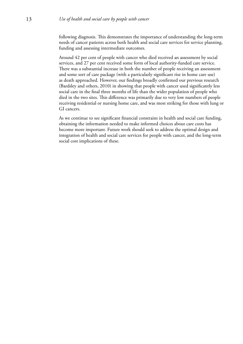following diagnosis. This demonstrates the importance of understanding the long-term needs of cancer patients across both health and social care services for service planning, funding and assessing intermediate outcomes.

Around 42 per cent of people with cancer who died received an assessment by social services, and 27 per cent received some form of local authority-funded care service. There was a substantial increase in both the number of people receiving an assessment and some sort of care package (with a particularly significant rise in home care use) as death approached. However, our findings broadly confirmed our previous research (Bardsley and others, 2010) in showing that people with cancer used significantly less social care in the final three months of life than the wider population of people who died in the two sites. This difference was primarily due to very low numbers of people receiving residential or nursing home care, and was most striking for those with lung or GI cancers.

As we continue to see significant financial constraint in health and social care funding, obtaining the information needed to make informed choices about care costs has become more important. Future work should seek to address the optimal design and integration of health and social care services for people with cancer, and the long-term social cost implications of these.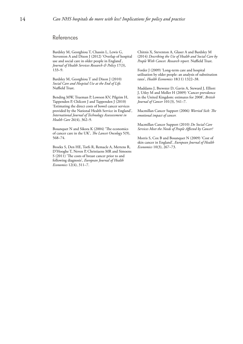## References

Bardsley M, Georghiou T, Chassin L, Lewis G, Steventon A and Dixon J (2012) 'Overlap of hospital use and social care in older people in England', *Journal of Health Services Research & Policy* 17(3), 133–9.

Bardsley M, Georghiou T and Dixon J (2010) *Social Care and Hospital Use at the End of Life.* Nuffield Trust.

Bending MW, Trueman P, Lowson KV, Pilgrim H, Tappenden P, Chilcott J and Tappenden J (2010) 'Estimating the direct costs of bowel cancer services provided by the National Health Service in England', *International Journal of Technology Assessessment in Health Care* 26(4), 362–9.

Bosanquet N and Sikora K (2004) 'The economics of cancer care in the UK', *The Lancet Oncology* 5(9), 568–74.

Broekx S, Den HE, Torfs R, Remacle A, Mertens R, D'Hooghe T, Neven P, Christiaens MR and Simoens S (2011) 'The costs of breast cancer prior to and following diagnosis', *European Journal of Health Economics* 12(4), 311–7.

Chitnis X, Steventon A, Glaser A and Bardsley M (2014) *Describing the Use of Health and Social Care by People With Cancer. Research report.* Nuffield Trust.

Forder J (2009) 'Long-term care and hospital utilisation by older people: an analysis of substitution rates', *Health Economics* 18(11) 1322–38.

Maddams J, Brewster D, Gavin A, Steward J, Elliott J, Utley M and Moller H (2009) 'Cancer prevalence in the United Kingdom: estimates for 2008', *British Journal of Cancer* 101(3), 541–7.

Macmillan Cancer Support (2006) *Worried Sick: The emotional impact of cancer.* 

Macmillan Cancer Support (2010) *Do Social Care Services Meet the Needs of People Affected by Cancer?* 

Morris S, Cox B and Bosanquet N (2009) 'Cost of skin cancer in England', *European Journal of Health Economics* 10(3), 267–73.